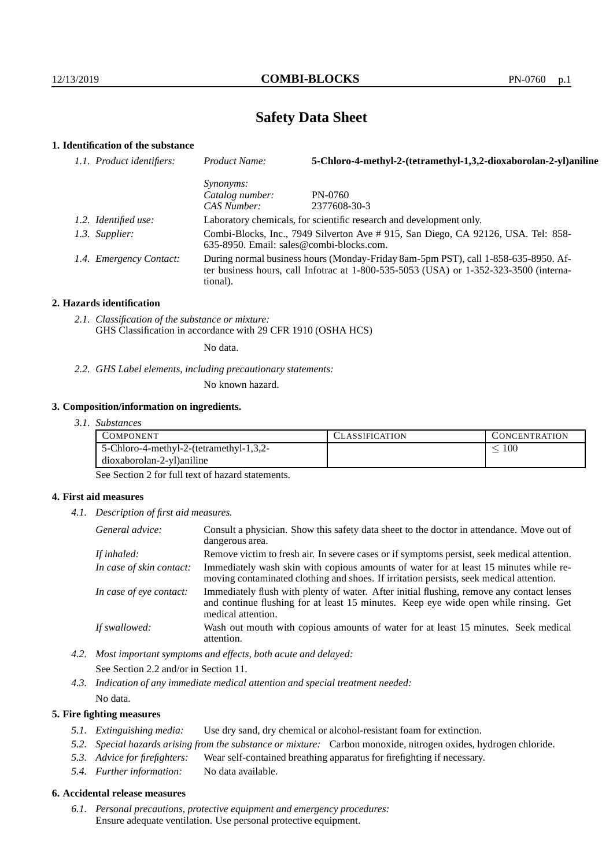# **Safety Data Sheet**

## **1. Identification of the substance**

| 1.1. Product identifiers: | Product Name:                                                                                                                                                                           | 5-Chloro-4-methyl-2-(tetramethyl-1,3,2-dioxaborolan-2-yl)aniline |
|---------------------------|-----------------------------------------------------------------------------------------------------------------------------------------------------------------------------------------|------------------------------------------------------------------|
|                           | <i>Synonyms:</i>                                                                                                                                                                        |                                                                  |
|                           | Catalog number:                                                                                                                                                                         | PN-0760                                                          |
|                           | CAS Number:                                                                                                                                                                             | 2377608-30-3                                                     |
| 1.2. Identified use:      | Laboratory chemicals, for scientific research and development only.                                                                                                                     |                                                                  |
| 1.3. Supplier:            | Combi-Blocks, Inc., 7949 Silverton Ave # 915, San Diego, CA 92126, USA. Tel: 858-<br>$635-8950$ . Email: sales@combi-blocks.com.                                                        |                                                                  |
| 1.4. Emergency Contact:   | During normal business hours (Monday-Friday 8am-5pm PST), call 1-858-635-8950. Af-<br>ter business hours, call Infotrac at 1-800-535-5053 (USA) or 1-352-323-3500 (interna-<br>tional). |                                                                  |

#### **2. Hazards identification**

*2.1. Classification of the substance or mixture:* GHS Classification in accordance with 29 CFR 1910 (OSHA HCS)

No data.

*2.2. GHS Label elements, including precautionary statements:*

No known hazard.

#### **3. Composition/information on ingredients.**

*3.1. Substances*

| COMPONENT                               | LASSIFICATION | CONCENTRATION. |
|-----------------------------------------|---------------|----------------|
| 5-Chloro-4-methyl-2-(tetramethyl-1,3,2- |               | $100\,$        |
| dioxaborolan-2-yl)aniline               |               |                |

See Section 2 for full text of hazard statements.

#### **4. First aid measures**

*4.1. Description of first aid measures.*

| General advice:          | Consult a physician. Show this safety data sheet to the doctor in attendance. Move out of<br>dangerous area.                                                                                            |
|--------------------------|---------------------------------------------------------------------------------------------------------------------------------------------------------------------------------------------------------|
| If inhaled:              | Remove victim to fresh air. In severe cases or if symptoms persist, seek medical attention.                                                                                                             |
| In case of skin contact: | Immediately wash skin with copious amounts of water for at least 15 minutes while re-<br>moving contaminated clothing and shoes. If irritation persists, seek medical attention.                        |
| In case of eye contact:  | Immediately flush with plenty of water. After initial flushing, remove any contact lenses<br>and continue flushing for at least 15 minutes. Keep eye wide open while rinsing. Get<br>medical attention. |
| If swallowed:            | Wash out mouth with copious amounts of water for at least 15 minutes. Seek medical<br>attention.                                                                                                        |

- *4.2. Most important symptoms and effects, both acute and delayed:* See Section 2.2 and/or in Section 11.
- *4.3. Indication of any immediate medical attention and special treatment needed:* No data.

### **5. Fire fighting measures**

- *5.1. Extinguishing media:* Use dry sand, dry chemical or alcohol-resistant foam for extinction.
- *5.2. Special hazards arising from the substance or mixture:* Carbon monoxide, nitrogen oxides, hydrogen chloride.
- *5.3. Advice for firefighters:* Wear self-contained breathing apparatus for firefighting if necessary.
- *5.4. Further information:* No data available.

## **6. Accidental release measures**

*6.1. Personal precautions, protective equipment and emergency procedures:* Ensure adequate ventilation. Use personal protective equipment.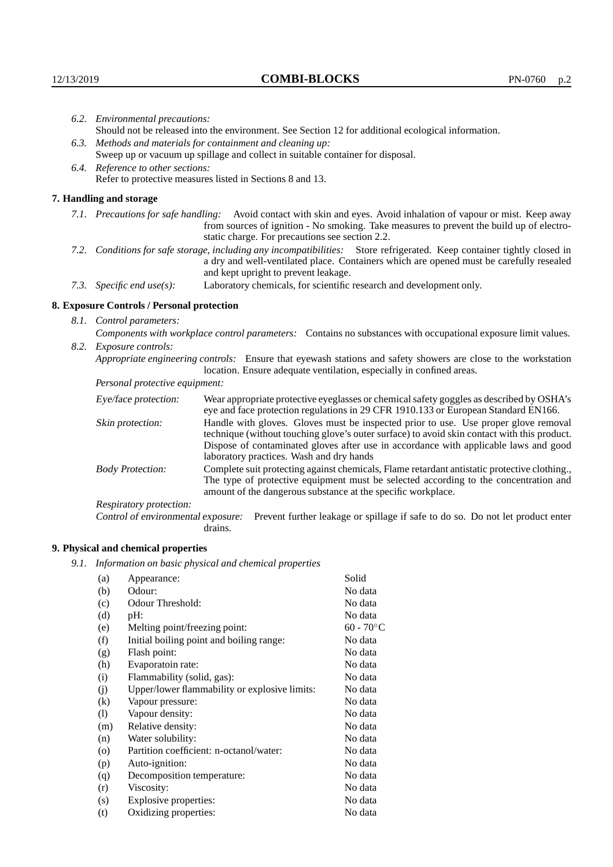|  | 6.2. Environmental precautions:                                                                                                                                                                                                                                    |                                                                                                                                                                                    |  |
|--|--------------------------------------------------------------------------------------------------------------------------------------------------------------------------------------------------------------------------------------------------------------------|------------------------------------------------------------------------------------------------------------------------------------------------------------------------------------|--|
|  | Should not be released into the environment. See Section 12 for additional ecological information.                                                                                                                                                                 |                                                                                                                                                                                    |  |
|  | 6.3. Methods and materials for containment and cleaning up:                                                                                                                                                                                                        |                                                                                                                                                                                    |  |
|  | Sweep up or vacuum up spillage and collect in suitable container for disposal.                                                                                                                                                                                     |                                                                                                                                                                                    |  |
|  | 6.4. Reference to other sections:                                                                                                                                                                                                                                  |                                                                                                                                                                                    |  |
|  |                                                                                                                                                                                                                                                                    | Refer to protective measures listed in Sections 8 and 13.                                                                                                                          |  |
|  | 7. Handling and storage                                                                                                                                                                                                                                            |                                                                                                                                                                                    |  |
|  | 7.1. Precautions for safe handling: Avoid contact with skin and eyes. Avoid inhalation of vapour or mist. Keep away<br>from sources of ignition - No smoking. Take measures to prevent the build up of electro-<br>static charge. For precautions see section 2.2. |                                                                                                                                                                                    |  |
|  | 7.2. Conditions for safe storage, including any incompatibilities: Store refrigerated. Keep container tightly closed in<br>a dry and well-ventilated place. Containers which are opened must be carefully resealed<br>and kept upright to prevent leakage.         |                                                                                                                                                                                    |  |
|  | Laboratory chemicals, for scientific research and development only.<br>7.3. Specific end use(s):                                                                                                                                                                   |                                                                                                                                                                                    |  |
|  | 8. Exposure Controls / Personal protection                                                                                                                                                                                                                         |                                                                                                                                                                                    |  |
|  | 8.1. Control parameters:                                                                                                                                                                                                                                           |                                                                                                                                                                                    |  |
|  | Components with workplace control parameters: Contains no substances with occupational exposure limit values.                                                                                                                                                      |                                                                                                                                                                                    |  |
|  | 8.2. Exposure controls:                                                                                                                                                                                                                                            |                                                                                                                                                                                    |  |
|  | Appropriate engineering controls: Ensure that eyewash stations and safety showers are close to the workstation<br>location. Ensure adequate ventilation, especially in confined areas.                                                                             |                                                                                                                                                                                    |  |
|  | Personal protective equipment:                                                                                                                                                                                                                                     |                                                                                                                                                                                    |  |
|  | Eye/face protection:                                                                                                                                                                                                                                               | Wear appropriate protective eyeglasses or chemical safety goggles as described by OSHA's<br>eye and face protection regulations in 29 CFR 1910.133 or European Standard EN166.     |  |
|  | Skin protection:                                                                                                                                                                                                                                                   | Handle with gloves. Gloves must be inspected prior to use. Use proper glove removal<br>technique (without touching glove's outer surface) to avoid skin contact with this product. |  |

## **8. Exposure Controls / Personal protection**

| Eye/face protection:                                                                                                                                                                                                                                                           | Wear appropriate protective eyeglasses or chemical safety goggles as described by OSHA's<br>eye and face protection regulations in 29 CFR 1910.133 or European Standard EN166.                                                                                                                                         |
|--------------------------------------------------------------------------------------------------------------------------------------------------------------------------------------------------------------------------------------------------------------------------------|------------------------------------------------------------------------------------------------------------------------------------------------------------------------------------------------------------------------------------------------------------------------------------------------------------------------|
| Skin protection:                                                                                                                                                                                                                                                               | Handle with gloves. Gloves must be inspected prior to use. Use proper glove removal<br>technique (without touching glove's outer surface) to avoid skin contact with this product.<br>Dispose of contaminated gloves after use in accordance with applicable laws and good<br>laboratory practices. Wash and dry hands |
| Complete suit protecting against chemicals, Flame retardant antistatic protective clothing.<br><b>Body Protection:</b><br>The type of protective equipment must be selected according to the concentration and<br>amount of the dangerous substance at the specific workplace. |                                                                                                                                                                                                                                                                                                                        |
| Respiratory protection:                                                                                                                                                                                                                                                        |                                                                                                                                                                                                                                                                                                                        |
| Control of environmental exposure:                                                                                                                                                                                                                                             | Prevent further leakage or spillage if safe to do so. Do not let product enter<br>drains.                                                                                                                                                                                                                              |

## **9. Physical and chemical properties**

*9.1. Information on basic physical and chemical properties*

| Appearance:                                   | Solid                                    |
|-----------------------------------------------|------------------------------------------|
| Odour:                                        | No data                                  |
| Odour Threshold:                              | No data                                  |
| pH:                                           | No data                                  |
| Melting point/freezing point:                 | $60 - 70$ °C                             |
|                                               | No data                                  |
| Flash point:                                  | No data                                  |
| Evaporatoin rate:                             | No data                                  |
| Flammability (solid, gas):                    | No data                                  |
| Upper/lower flammability or explosive limits: | No data                                  |
| Vapour pressure:                              | No data                                  |
| Vapour density:                               | No data                                  |
| Relative density:                             | No data                                  |
| Water solubility:                             | No data                                  |
| Partition coefficient: n-octanol/water:       | No data                                  |
| Auto-ignition:                                | No data                                  |
| Decomposition temperature:                    | No data                                  |
| Viscosity:                                    | No data                                  |
| Explosive properties:                         | No data                                  |
| Oxidizing properties:                         | No data                                  |
|                                               | Initial boiling point and boiling range: |